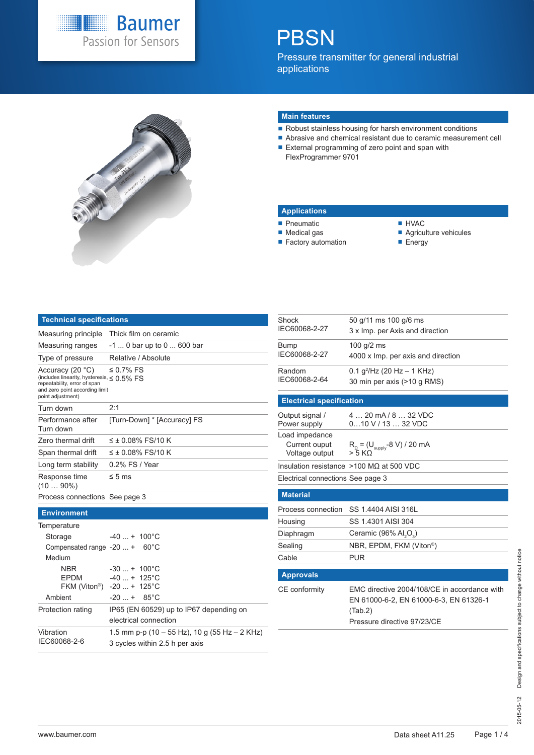

# **PBSN**

Pressure transmitter for general industrial applications



#### **Main features**

- Robust stainless housing for harsh environment conditions
- Abrasive and chemical resistant due to ceramic measurement cell
- External programming of zero point and span with FlexProgrammer 9701

#### **Applications**

Output signal / Power supply

**Electrical specification**

Load impedance Current ouput Voltage output

**P**neumatic

Shock IEC60068-2-27

Bump IEC60068-2-27

Random IEC60068-2-64

- Medical gas **Factory automation**
- **HVAC**
- Agriculture vehicules
- **Energy**

| Technical specifications                                                                                                                                    |                             |
|-------------------------------------------------------------------------------------------------------------------------------------------------------------|-----------------------------|
| Measuring principle                                                                                                                                         | Thick film on ceramic       |
| Measuring ranges                                                                                                                                            | $-1$ 0 bar up to 0  600 bar |
| Type of pressure                                                                                                                                            | Relative / Absolute         |
| Accuracy (20 °C)<br>(includes linearity, hysteresis, $\leq 0.5\%$ FS<br>repeatability, error of span<br>and zero point according limit<br>point adjustment) | $\leq$ 0.7% FS              |
| Turn down                                                                                                                                                   | 2:1                         |
| Performance after<br>Turn down                                                                                                                              | [Turn-Down] * [Accuracy] FS |
| Zero thermal drift                                                                                                                                          | $\leq \pm 0.08\%$ FS/10 K   |
| Span thermal drift                                                                                                                                          | ≤ ± 0.08% FS/10 K           |
| Long term stability                                                                                                                                         | 0.2% FS / Year              |
| Response time<br>$(1090\%)$                                                                                                                                 | $\leq 5$ ms                 |
| Process connections See page 3                                                                                                                              |                             |

### Insulation resistance >100 MΩ at 500 VDC Electrical connections See page 3 **Material** Process connection SS 1.4404 AISI 316L Hous Diaphragm Ceramic (96% Al $_2$  $O_{3}$ ) Sealing NBR, EPDM, FKM (Viton<sup>®</sup>) Cabl Ap<sub>l</sub> CE conformity EMC directive 2004/108/CE in accordance with EN 61000-6-2, EN 61000-6-3, EN 61326-1 (Tab.2) Pressure directive 97/23/CE

4 … 20 mA / 8 … 32 VDC 0…10 V / 13 … 32 VDC

0.1 g<sup>2</sup>/Hz (20 Hz – 1 KHz) 30 min per axis (>10 g RMS)

4000 x Imp. per axis and direction

50 g/11 ms 100 g/6 ms 3 x Imp. per Axis and direction

100 g/2 ms

 $R_{\Omega} = (U_{\text{supply}} - 8 \text{ V}) / 20 \text{ mA}$ 

 $>$  5 KΩ

|            | ess connection SS 1.4404 AISI 316L                                                                                               |
|------------|----------------------------------------------------------------------------------------------------------------------------------|
| sing       | SS 1.4301 AISI 304                                                                                                               |
| hragm      | Ceramic $(96\%$ Al <sub>2</sub> O <sub>3</sub> )                                                                                 |
| ing        | NBR, EPDM, FKM (Viton®)                                                                                                          |
| e          | PUR                                                                                                                              |
|            |                                                                                                                                  |
| orovals    |                                                                                                                                  |
| :onformitv | EMC directive 2004/108/CE in accordance with<br>EN 61000-6-2. EN 61000-6-3. EN 61326-1<br>(Tab.2)<br>Pressure directive 97/23/CE |
|            |                                                                                                                                  |

**Environment**

| Temperature                               |                                                                                 |
|-------------------------------------------|---------------------------------------------------------------------------------|
| Storage                                   | $-40$ $+ 100^{\circ}$ C                                                         |
| Compensated range $-20$ + 60 $^{\circ}$ C |                                                                                 |
| Medium                                    |                                                                                 |
| <b>NBR</b>                                | $-30$ + 100°C                                                                   |
| <b>EPDM</b>                               | $-40 + 125^{\circ}$ C                                                           |
|                                           | FKM (Viton <sup>®</sup> ) -20  + 125°C                                          |
| Ambient                                   | $-20$ $+$ 85 <sup>°</sup> C                                                     |
| Protection rating                         | IP65 (EN 60529) up to IP67 depending on                                         |
|                                           | electrical connection                                                           |
| Vibration<br>IEC60068-2-6                 | 1.5 mm p-p (10 – 55 Hz), 10 g (55 Hz – 2 KHz)<br>3 cycles within 2.5 h per axis |
|                                           |                                                                                 |
|                                           |                                                                                 |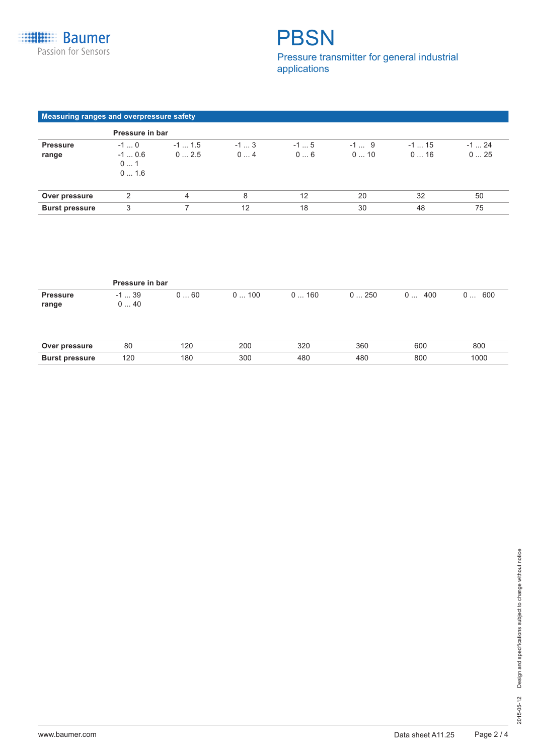## **PBSN** Pressure transmitter for general industrial applications

### **Measuring ranges and overpressure safety**

|                       | Pressure in bar      |          |       |       |       |         |        |  |  |
|-----------------------|----------------------|----------|-------|-------|-------|---------|--------|--|--|
| <b>Pressure</b>       | $-10$                | $-1$ 1.5 | $-13$ | $-15$ | $-19$ | $-1$ 15 | $-124$ |  |  |
| range                 | $-10.6$<br>01<br>016 | 02.5     | 04    | 06    | 010   | 016     | 025    |  |  |
| Over pressure         | 2                    | 4        | 8     | 12    | 20    | 32      | 50     |  |  |
| <b>Burst pressure</b> | 3                    |          | 12    | 18    | 30    | 48      | 75     |  |  |

|                          | Pressure in bar |     |      |      |      |          |          |  |  |  |
|--------------------------|-----------------|-----|------|------|------|----------|----------|--|--|--|
| <b>Pressure</b><br>range | $-1$ 39<br>040  | 060 | 0100 | 0160 | 0250 | 400<br>0 | 600<br>0 |  |  |  |
| Over pressure            | 80              | 120 | 200  | 320  | 360  | 600      | 800      |  |  |  |
| <b>Burst pressure</b>    | 120             | 180 | 300  | 480  | 480  | 800      | 1000     |  |  |  |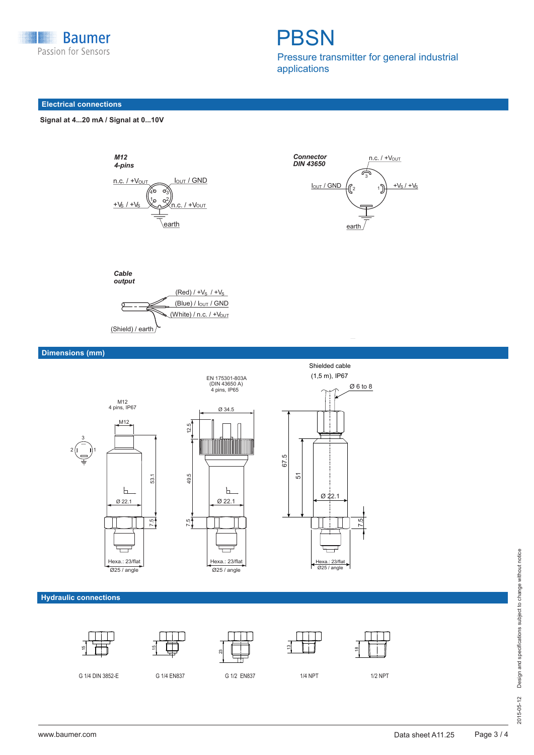

**PBSN** Pressure transmitter for general industrial

applications

### **Electrical connections**



*M12 4-pins*







**Dimensions (mm)**



**Hydraulic connections**











 $\varnothing$  6 to 8

7.5

G 1/4 DIN 3852-E G 1/4 EN837 G 1/2 EN837 G 1/2 NPT 1/2 NPT